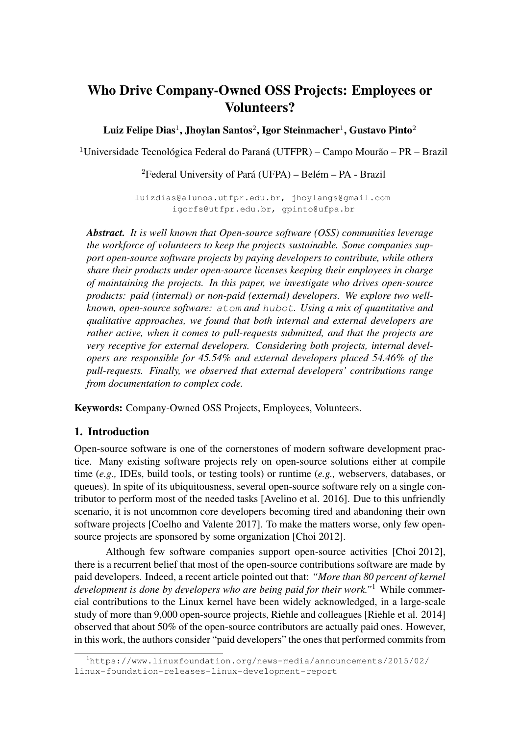# Who Drive Company-Owned OSS Projects: Employees or Volunteers?

Luiz Felipe Dias $^1$ , Jhoylan Santos $^2$ , Igor Steinmacher $^1$ , Gustavo Pinto $^2$ 

<sup>1</sup>Universidade Tecnológica Federal do Paraná (UTFPR) – Campo Mourão – PR – Brazil

<sup>2</sup>Federal University of Pará (UFPA) – Belém – PA - Brazil

luizdias@alunos.utfpr.edu.br, jhoylangs@gmail.com igorfs@utfpr.edu.br, gpinto@ufpa.br

*Abstract. It is well known that Open-source software (OSS) communities leverage the workforce of volunteers to keep the projects sustainable. Some companies support open-source software projects by paying developers to contribute, while others share their products under open-source licenses keeping their employees in charge of maintaining the projects. In this paper, we investigate who drives open-source products: paid (internal) or non-paid (external) developers. We explore two wellknown, open-source software:* atom *and* hubot*. Using a mix of quantitative and qualitative approaches, we found that both internal and external developers are rather active, when it comes to pull-requests submitted, and that the projects are very receptive for external developers. Considering both projects, internal developers are responsible for 45.54% and external developers placed 54.46% of the pull-requests. Finally, we observed that external developers' contributions range from documentation to complex code.*

Keywords: Company-Owned OSS Projects, Employees, Volunteers.

### 1. Introduction

Open-source software is one of the cornerstones of modern software development practice. Many existing software projects rely on open-source solutions either at compile time (*e.g.,* IDEs, build tools, or testing tools) or runtime (*e.g.,* webservers, databases, or queues). In spite of its ubiquitousness, several open-source software rely on a single contributor to perform most of the needed tasks [Avelino et al. 2016]. Due to this unfriendly scenario, it is not uncommon core developers becoming tired and abandoning their own software projects [Coelho and Valente 2017]. To make the matters worse, only few opensource projects are sponsored by some organization [Choi 2012].

Although few software companies support open-source activities [Choi 2012], there is a recurrent belief that most of the open-source contributions software are made by paid developers. Indeed, a recent article pointed out that: *"More than 80 percent of kernel development is done by developers who are being paid for their work."*<sup>1</sup> While commercial contributions to the Linux kernel have been widely acknowledged, in a large-scale study of more than 9,000 open-source projects, Riehle and colleagues [Riehle et al. 2014] observed that about 50% of the open-source contributors are actually paid ones. However, in this work, the authors consider "paid developers" the ones that performed commits from

<sup>1</sup>https://www.linuxfoundation.org/news-media/announcements/2015/02/ linux-foundation-releases-linux-development-report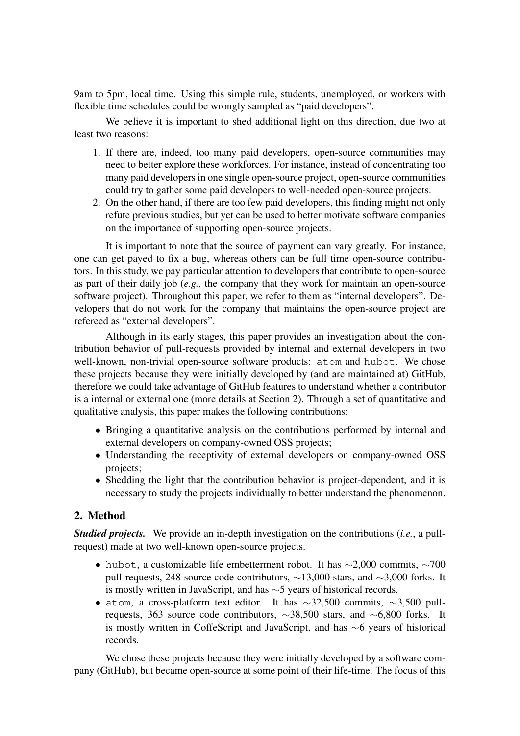9am to 5pm, local time. Using this simple rule, students, unemployed, or workers with flexible time schedules could be wrongly sampled as "paid developers".

We believe it is important to shed additional light on this direction, due two at least two reasons:

- 1. If there are, indeed, too many paid developers, open-source communities may need to better explore these workforces. For instance, instead of concentrating too many paid developers in one single open-source project, open-source communities could try to gather some paid developers to well-needed open-source projects.
- 2. On the other hand, if there are too few paid developers, this finding might not only refute previous studies, but yet can be used to better motivate software companies on the importance of supporting open-source projects.

It is important to note that the source of payment can vary greatly. For instance, one can get payed to fix a bug, whereas others can be full time open-source contributors. In this study, we pay particular attention to developers that contribute to open-source as part of their daily job (*e.g.,* the company that they work for maintain an open-source software project). Throughout this paper, we refer to them as "internal developers". Developers that do not work for the company that maintains the open-source project are refereed as "external developers".

Although in its early stages, this paper provides an investigation about the contribution behavior of pull-requests provided by internal and external developers in two well-known, non-trivial open-source software products: atom and hubot. We chose these projects because they were initially developed by (and are maintained at) GitHub, therefore we could take advantage of GitHub features to understand whether a contributor is a internal or external one (more details at Section 2). Through a set of quantitative and qualitative analysis, this paper makes the following contributions:

- Bringing a quantitative analysis on the contributions performed by internal and external developers on company-owned OSS projects;
- Understanding the receptivity of external developers on company-owned OSS projects;
- Shedding the light that the contribution behavior is project-dependent, and it is necessary to study the projects individually to better understand the phenomenon.

# 2. Method

*Studied projects.* We provide an in-depth investigation on the contributions (*i.e.*, a pullrequest) made at two well-known open-source projects.

- hubot, a customizable life embetterment robot. It has  $\sim$ 2,000 commits,  $\sim$ 700 pull-requests, 248 source code contributors, ∼13,000 stars, and ∼3,000 forks. It is mostly written in JavaScript, and has ∼5 years of historical records.
- atom, a cross-platform text editor. It has  $\sim$ 32,500 commits,  $\sim$ 3,500 pullrequests, 363 source code contributors, ∼38,500 stars, and ∼6,800 forks. It is mostly written in CoffeScript and JavaScript, and has ∼6 years of historical records.

We chose these projects because they were initially developed by a software company (GitHub), but became open-source at some point of their life-time. The focus of this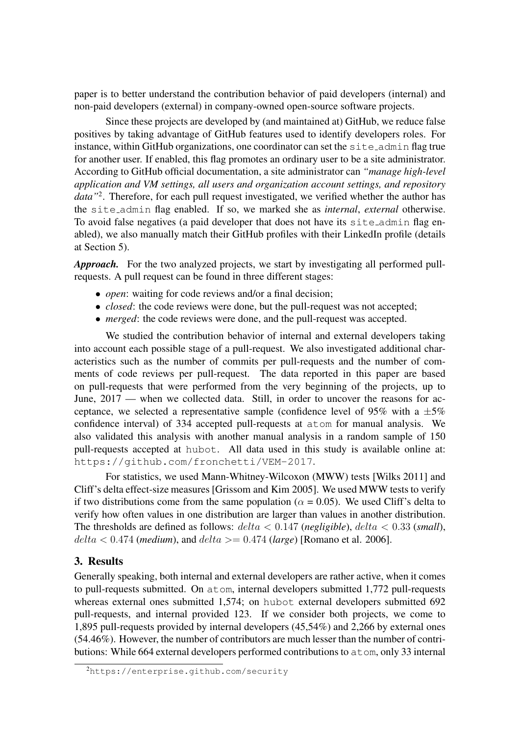paper is to better understand the contribution behavior of paid developers (internal) and non-paid developers (external) in company-owned open-source software projects.

Since these projects are developed by (and maintained at) GitHub, we reduce false positives by taking advantage of GitHub features used to identify developers roles. For instance, within GitHub organizations, one coordinator can set the site admin flag true for another user. If enabled, this flag promotes an ordinary user to be a site administrator. According to GitHub official documentation, a site administrator can *"manage high-level application and VM settings, all users and organization account settings, and repository* data<sup>"2</sup>. Therefore, for each pull request investigated, we verified whether the author has the site admin flag enabled. If so, we marked she as *internal*, *external* otherwise. To avoid false negatives (a paid developer that does not have its site\_admin flag enabled), we also manually match their GitHub profiles with their LinkedIn profile (details at Section 5).

*Approach.* For the two analyzed projects, we start by investigating all performed pullrequests. A pull request can be found in three different stages:

- *open*: waiting for code reviews and/or a final decision;
- *closed*: the code reviews were done, but the pull-request was not accepted;
- *merged*: the code reviews were done, and the pull-request was accepted.

We studied the contribution behavior of internal and external developers taking into account each possible stage of a pull-request. We also investigated additional characteristics such as the number of commits per pull-requests and the number of comments of code reviews per pull-request. The data reported in this paper are based on pull-requests that were performed from the very beginning of the projects, up to June, 2017 — when we collected data. Still, in order to uncover the reasons for acceptance, we selected a representative sample (confidence level of 95% with a  $\pm$ 5% confidence interval) of 334 accepted pull-requests at atom for manual analysis. We also validated this analysis with another manual analysis in a random sample of 150 pull-requests accepted at hubot. All data used in this study is available online at: https://github.com/fronchetti/VEM-2017.

For statistics, we used Mann-Whitney-Wilcoxon (MWW) tests [Wilks 2011] and Cliff's delta effect-size measures [Grissom and Kim 2005]. We used MWW tests to verify if two distributions come from the same population ( $\alpha = 0.05$ ). We used Cliff's delta to verify how often values in one distribution are larger than values in another distribution. The thresholds are defined as follows: delta < 0.147 (*negligible*), delta < 0.33 (*small*),  $delta < 0.474$  (*medium*), and  $delta > = 0.474$  (*large*) [Romano et al. 2006].

### 3. Results

Generally speaking, both internal and external developers are rather active, when it comes to pull-requests submitted. On atom, internal developers submitted 1,772 pull-requests whereas external ones submitted 1,574; on hubot external developers submitted 692 pull-requests, and internal provided 123. If we consider both projects, we come to 1,895 pull-requests provided by internal developers (45,54%) and 2,266 by external ones (54.46%). However, the number of contributors are much lesser than the number of contributions: While 664 external developers performed contributions to atom, only 33 internal

<sup>2</sup>https://enterprise.github.com/security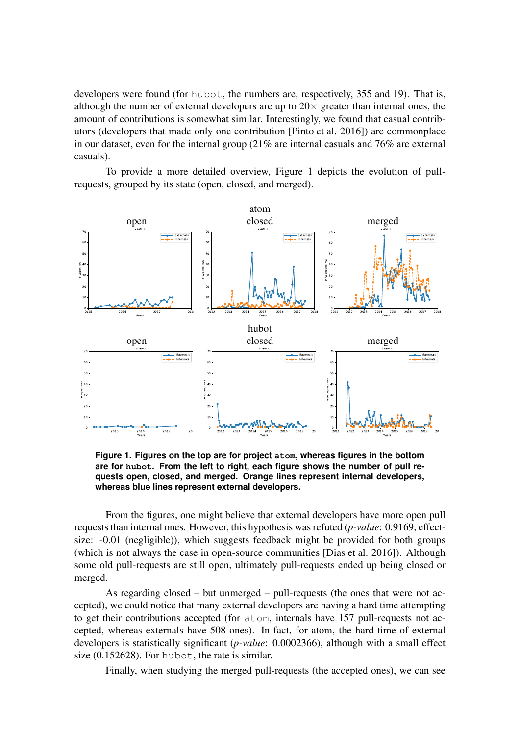developers were found (for hubot, the numbers are, respectively, 355 and 19). That is, although the number of external developers are up to  $20\times$  greater than internal ones, the amount of contributions is somewhat similar. Interestingly, we found that casual contributors (developers that made only one contribution [Pinto et al. 2016]) are commonplace in our dataset, even for the internal group (21% are internal casuals and 76% are external casuals).

To provide a more detailed overview, Figure 1 depicts the evolution of pullrequests, grouped by its state (open, closed, and merged).



**Figure 1. Figures on the top are for project atom, whereas figures in the bottom are for hubot. From the left to right, each figure shows the number of pull requests open, closed, and merged. Orange lines represent internal developers, whereas blue lines represent external developers.**

From the figures, one might believe that external developers have more open pull requests than internal ones. However, this hypothesis was refuted (*p-value*: 0.9169, effectsize: -0.01 (negligible)), which suggests feedback might be provided for both groups (which is not always the case in open-source communities [Dias et al. 2016]). Although some old pull-requests are still open, ultimately pull-requests ended up being closed or merged.

As regarding closed – but unmerged – pull-requests (the ones that were not accepted), we could notice that many external developers are having a hard time attempting to get their contributions accepted (for atom, internals have 157 pull-requests not accepted, whereas externals have 508 ones). In fact, for atom, the hard time of external developers is statistically significant (*p-value*: 0.0002366), although with a small effect size (0.152628). For hubot, the rate is similar.

Finally, when studying the merged pull-requests (the accepted ones), we can see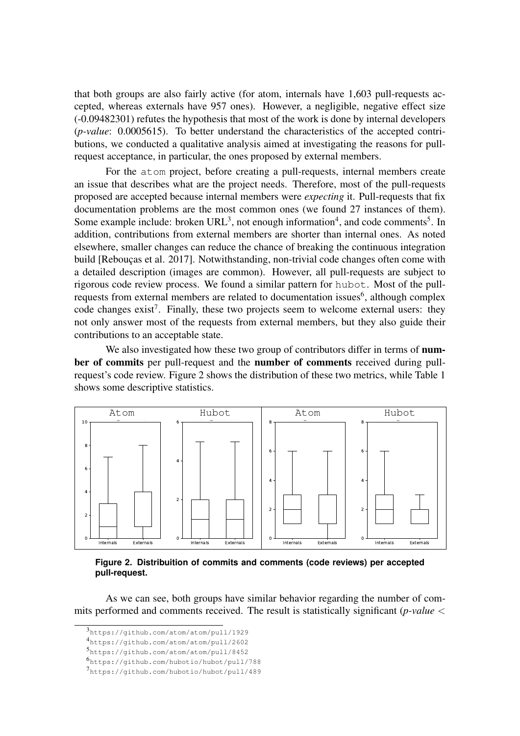that both groups are also fairly active (for atom, internals have 1,603 pull-requests accepted, whereas externals have 957 ones). However, a negligible, negative effect size (-0.09482301) refutes the hypothesis that most of the work is done by internal developers (*p-value*: 0.0005615). To better understand the characteristics of the accepted contributions, we conducted a qualitative analysis aimed at investigating the reasons for pullrequest acceptance, in particular, the ones proposed by external members.

For the atom project, before creating a pull-requests, internal members create an issue that describes what are the project needs. Therefore, most of the pull-requests proposed are accepted because internal members were *expecting* it. Pull-requests that fix documentation problems are the most common ones (we found 27 instances of them). Some example include: broken  $URL<sup>3</sup>$ , not enough information<sup>4</sup>, and code comments<sup>5</sup>. In addition, contributions from external members are shorter than internal ones. As noted elsewhere, smaller changes can reduce the chance of breaking the continuous integration build [Rebouças et al. 2017]. Notwithstanding, non-trivial code changes often come with a detailed description (images are common). However, all pull-requests are subject to rigorous code review process. We found a similar pattern for hubot. Most of the pullrequests from external members are related to documentation issues<sup>6</sup>, although complex code changes exist<sup>7</sup>. Finally, these two projects seem to welcome external users: they not only answer most of the requests from external members, but they also guide their contributions to an acceptable state.

We also investigated how these two group of contributors differ in terms of **num**ber of commits per pull-request and the number of comments received during pullrequest's code review. Figure 2 shows the distribution of these two metrics, while Table 1 shows some descriptive statistics.



**Figure 2. Distribuition of commits and comments (code reviews) per accepted pull-request.**

As we can see, both groups have similar behavior regarding the number of commits performed and comments received. The result is statistically significant (*p-value* <

<sup>3</sup> https://github.com/atom/atom/pull/1929

<sup>4</sup> https://github.com/atom/atom/pull/2602

<sup>5</sup> https://github.com/atom/atom/pull/8452

<sup>6</sup> https://github.com/hubotio/hubot/pull/788

<sup>7</sup> https://github.com/hubotio/hubot/pull/489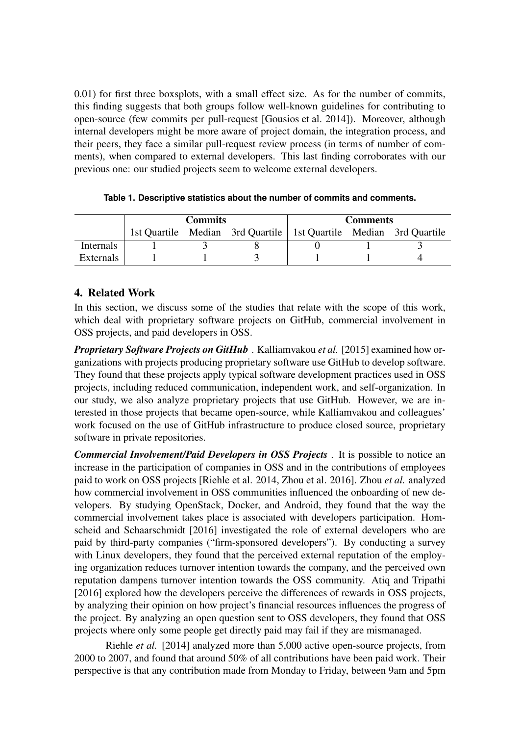0.01) for first three boxsplots, with a small effect size. As for the number of commits, this finding suggests that both groups follow well-known guidelines for contributing to open-source (few commits per pull-request [Gousios et al. 2014]). Moreover, although internal developers might be more aware of project domain, the integration process, and their peers, they face a similar pull-request review process (in terms of number of comments), when compared to external developers. This last finding corroborates with our previous one: our studied projects seem to welcome external developers.

|           | Commits |                                                                     | Comments |  |  |
|-----------|---------|---------------------------------------------------------------------|----------|--|--|
|           |         | 1st Quartile Median 3rd Quartile   1st Quartile Median 3rd Quartile |          |  |  |
| Internals |         |                                                                     |          |  |  |
| Externals |         |                                                                     |          |  |  |

|  |  |  |  |  |  | Table 1. Descriptive statistics about the number of commits and comments. |  |
|--|--|--|--|--|--|---------------------------------------------------------------------------|--|
|--|--|--|--|--|--|---------------------------------------------------------------------------|--|

# 4. Related Work

In this section, we discuss some of the studies that relate with the scope of this work, which deal with proprietary software projects on GitHub, commercial involvement in OSS projects, and paid developers in OSS.

*Proprietary Software Projects on GitHub* . Kalliamvakou *et al.* [2015] examined how organizations with projects producing proprietary software use GitHub to develop software. They found that these projects apply typical software development practices used in OSS projects, including reduced communication, independent work, and self-organization. In our study, we also analyze proprietary projects that use GitHub. However, we are interested in those projects that became open-source, while Kalliamvakou and colleagues' work focused on the use of GitHub infrastructure to produce closed source, proprietary software in private repositories.

*Commercial Involvement/Paid Developers in OSS Projects* . It is possible to notice an increase in the participation of companies in OSS and in the contributions of employees paid to work on OSS projects [Riehle et al. 2014, Zhou et al. 2016]. Zhou *et al.* analyzed how commercial involvement in OSS communities influenced the onboarding of new developers. By studying OpenStack, Docker, and Android, they found that the way the commercial involvement takes place is associated with developers participation. Homscheid and Schaarschmidt [2016] investigated the role of external developers who are paid by third-party companies ("firm-sponsored developers"). By conducting a survey with Linux developers, they found that the perceived external reputation of the employing organization reduces turnover intention towards the company, and the perceived own reputation dampens turnover intention towards the OSS community. Atiq and Tripathi [2016] explored how the developers perceive the differences of rewards in OSS projects, by analyzing their opinion on how project's financial resources influences the progress of the project. By analyzing an open question sent to OSS developers, they found that OSS projects where only some people get directly paid may fail if they are mismanaged.

Riehle *et al.* [2014] analyzed more than 5,000 active open-source projects, from 2000 to 2007, and found that around 50% of all contributions have been paid work. Their perspective is that any contribution made from Monday to Friday, between 9am and 5pm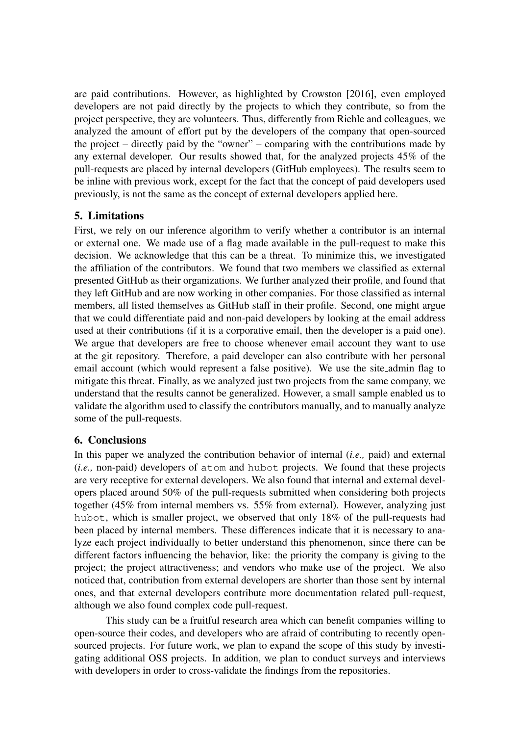are paid contributions. However, as highlighted by Crowston [2016], even employed developers are not paid directly by the projects to which they contribute, so from the project perspective, they are volunteers. Thus, differently from Riehle and colleagues, we analyzed the amount of effort put by the developers of the company that open-sourced the project – directly paid by the "owner" – comparing with the contributions made by any external developer. Our results showed that, for the analyzed projects 45% of the pull-requests are placed by internal developers (GitHub employees). The results seem to be inline with previous work, except for the fact that the concept of paid developers used previously, is not the same as the concept of external developers applied here.

# 5. Limitations

First, we rely on our inference algorithm to verify whether a contributor is an internal or external one. We made use of a flag made available in the pull-request to make this decision. We acknowledge that this can be a threat. To minimize this, we investigated the affiliation of the contributors. We found that two members we classified as external presented GitHub as their organizations. We further analyzed their profile, and found that they left GitHub and are now working in other companies. For those classified as internal members, all listed themselves as GitHub staff in their profile. Second, one might argue that we could differentiate paid and non-paid developers by looking at the email address used at their contributions (if it is a corporative email, then the developer is a paid one). We argue that developers are free to choose whenever email account they want to use at the git repository. Therefore, a paid developer can also contribute with her personal email account (which would represent a false positive). We use the site admin flag to mitigate this threat. Finally, as we analyzed just two projects from the same company, we understand that the results cannot be generalized. However, a small sample enabled us to validate the algorithm used to classify the contributors manually, and to manually analyze some of the pull-requests.

### 6. Conclusions

In this paper we analyzed the contribution behavior of internal (*i.e.,* paid) and external (*i.e.,* non-paid) developers of atom and hubot projects. We found that these projects are very receptive for external developers. We also found that internal and external developers placed around 50% of the pull-requests submitted when considering both projects together (45% from internal members vs. 55% from external). However, analyzing just hubot, which is smaller project, we observed that only 18% of the pull-requests had been placed by internal members. These differences indicate that it is necessary to analyze each project individually to better understand this phenomenon, since there can be different factors influencing the behavior, like: the priority the company is giving to the project; the project attractiveness; and vendors who make use of the project. We also noticed that, contribution from external developers are shorter than those sent by internal ones, and that external developers contribute more documentation related pull-request, although we also found complex code pull-request.

This study can be a fruitful research area which can benefit companies willing to open-source their codes, and developers who are afraid of contributing to recently opensourced projects. For future work, we plan to expand the scope of this study by investigating additional OSS projects. In addition, we plan to conduct surveys and interviews with developers in order to cross-validate the findings from the repositories.